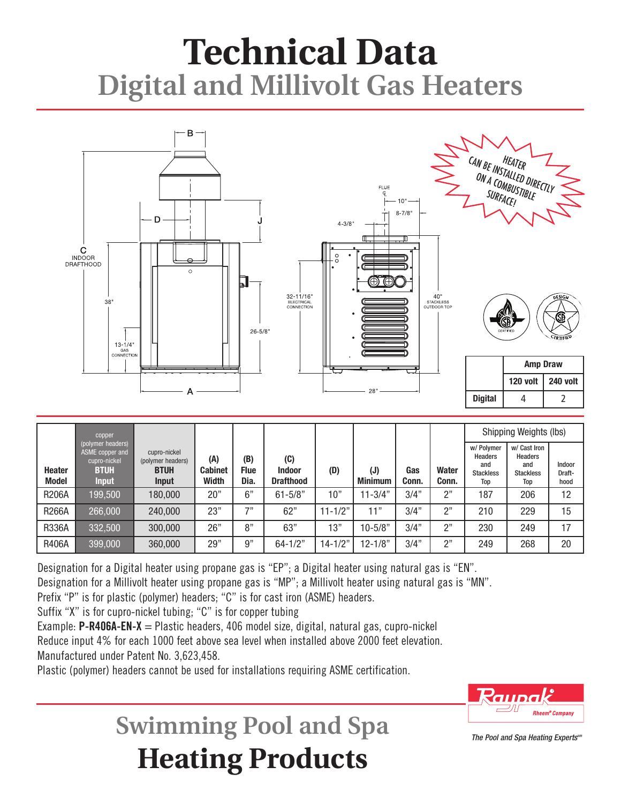# **Technical Data Digital and Millivolt Gas Heaters**



|                               | copper                                                                              |                                                                  |                                       |                            |                                          |             |                       |              |                | Shipping Weights (lbs)                                         |                                                           |                          |
|-------------------------------|-------------------------------------------------------------------------------------|------------------------------------------------------------------|---------------------------------------|----------------------------|------------------------------------------|-------------|-----------------------|--------------|----------------|----------------------------------------------------------------|-----------------------------------------------------------|--------------------------|
| <b>Heater</b><br><b>Model</b> | (polymer headers)<br>ASME copper and<br>cupro-nickel<br><b>BTUH</b><br><b>Input</b> | cupro-nickel<br>(polymer headers)<br><b>BTUH</b><br><b>Input</b> | (A)<br><b>Cabinet</b><br><b>Width</b> | (B)<br><b>Flue</b><br>Dia. | (C)<br><b>Indoor</b><br><b>Drafthood</b> | (D)         | (J)<br><b>Minimum</b> | Gas<br>Conn. | Water<br>Conn. | w/ Polymer<br><b>Headers</b><br>and<br><b>Stackless</b><br>Top | w/ Cast Iron<br>Headers<br>and<br><b>Stackless</b><br>Top | Indoor<br>Draft-<br>hood |
| <b>R206A</b>                  | 199,500                                                                             | 180,000                                                          | 20"                                   | 6"                         | $61 - 5/8"$                              | 10"         | $11 - 3/4"$           | 3/4"         | 2"             | 187                                                            | 206                                                       | 12                       |
| <b>R266A</b>                  | 266,000                                                                             | 240,000                                                          | 23"                                   | 711                        | 62"                                      | $11 - 1/2"$ | 11"                   | 3/4"         | 2"             | 210                                                            | 229                                                       | 15                       |
| <b>R336A</b>                  | 332,500                                                                             | 300,000                                                          | 26"                                   | 8"                         | 63"                                      | 13"         | $10 - 5/8"$           | 3/4"         | יי כי          | 230                                                            | 249                                                       | 17                       |
| <b>R406A</b>                  | 399,000                                                                             | 360,000                                                          | 29"                                   | 9"                         | $64 - 1/2"$                              | $14 - 1/2"$ | $12 - 1/8"$           | 3/4"         | יי ר           | 249                                                            | 268                                                       | 20                       |

Designation for a Digital heater using propane gas is "EP"; a Digital heater using natural gas is "EN".

Designation for a Millivolt heater using propane gas is "MP"; a Millivolt heater using natural gas is "MN".

Prefix "P" is for plastic (polymer) headers; "C" is for cast iron (ASME) headers.

Suffix "X" is for cupro-nickel tubing; "C" is for copper tubing

Example: **P-R406A-EN-X** = Plastic headers, 406 model size, digital, natural gas, cupro-nickel

Reduce input 4% for each 1000 feet above sea level when installed above 2000 feet elevation.

Manufactured under Patent No. 3,623,458.

Plastic (polymer) headers cannot be used for installations requiring ASME certification.



*The Pool and Spa Heating Expertssm*

# **Swimming Pool and Spa Heating Products**